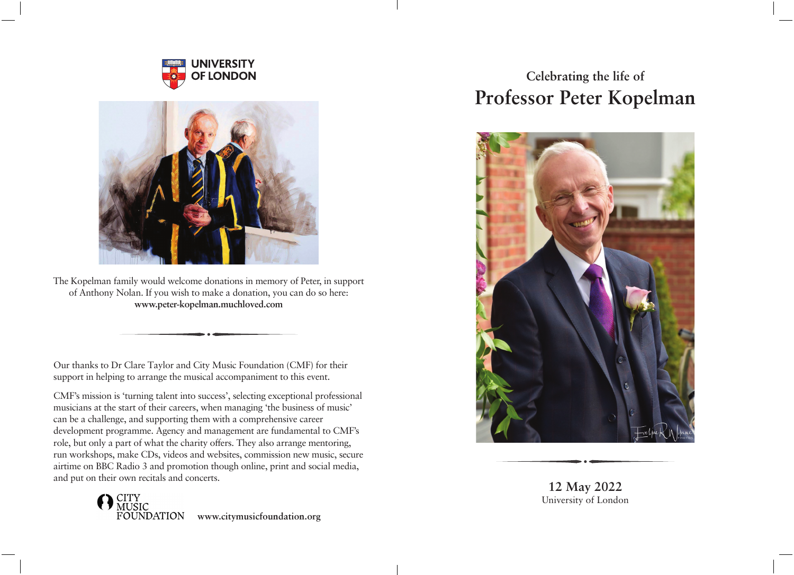



The Kopelman family would welcome donations in memory of Peter, in support of Anthony Nolan. If you wish to make a donation, you can do so here: **www.peter-kopelman.muchloved.com**

Our thanks to Dr Clare Taylor and City Music Foundation (CMF) for their support in helping to arrange the musical accompaniment to this event.

CMF's mission is 'turning talent into success', selecting exceptional professional musicians at the start of their careers, when managing 'the business of music' can be a challenge, and supporting them with a comprehensive career development programme. Agency and management are fundamental to CMF's role, but only a part of what the charity offers. They also arrange mentoring, run workshops, make CDs, videos and websites, commission new music, secure airtime on BBC Radio 3 and promotion though online, print and social media, and put on their own recitals and concerts.



## **Celebrating the life of Professor Peter Kopelman**



**12 May 2022** University of London